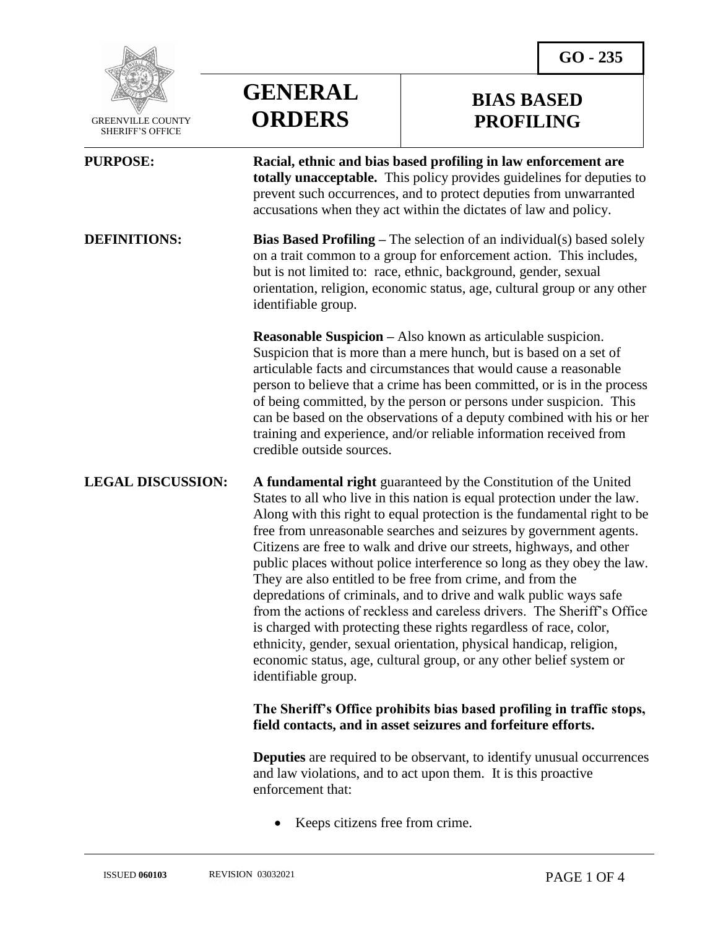

 GREENVILLE COUNTY SHERIFF'S OFFICE

 $\overline{a}$ 

**GENERAL ORDERS**

## **BIAS BASED PROFILING**

**PURPOSE: Racial, ethnic and bias based profiling in law enforcement are totally unacceptable.** This policy provides guidelines for deputies to prevent such occurrences, and to protect deputies from unwarranted accusations when they act within the dictates of law and policy.

**DEFINITIONS: Bias Based Profiling** – The selection of an individual(s) based solely on a trait common to a group for enforcement action. This includes, but is not limited to: race, ethnic, background, gender, sexual orientation, religion, economic status, age, cultural group or any other identifiable group.

> **Reasonable Suspicion –** Also known as articulable suspicion. Suspicion that is more than a mere hunch, but is based on a set of articulable facts and circumstances that would cause a reasonable person to believe that a crime has been committed, or is in the process of being committed, by the person or persons under suspicion. This can be based on the observations of a deputy combined with his or her training and experience, and/or reliable information received from credible outside sources.

**LEGAL DISCUSSION: A fundamental right** guaranteed by the Constitution of the United States to all who live in this nation is equal protection under the law. Along with this right to equal protection is the fundamental right to be free from unreasonable searches and seizures by government agents. Citizens are free to walk and drive our streets, highways, and other public places without police interference so long as they obey the law. They are also entitled to be free from crime, and from the depredations of criminals, and to drive and walk public ways safe from the actions of reckless and careless drivers. The Sheriff's Office is charged with protecting these rights regardless of race, color, ethnicity, gender, sexual orientation, physical handicap, religion, economic status, age, cultural group, or any other belief system or identifiable group.

## **The Sheriff's Office prohibits bias based profiling in traffic stops, field contacts, and in asset seizures and forfeiture efforts.**

**Deputies** are required to be observant, to identify unusual occurrences and law violations, and to act upon them. It is this proactive enforcement that:

Keeps citizens free from crime.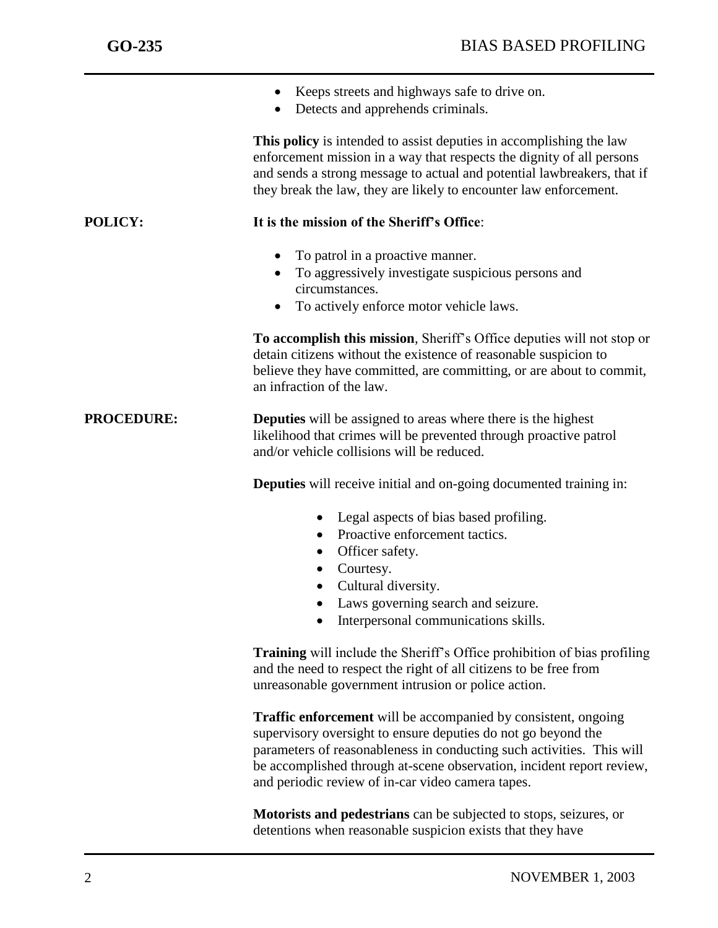|                   | Keeps streets and highways safe to drive on.<br>Detects and apprehends criminals.                                                                                                                                                                                                                                                             |
|-------------------|-----------------------------------------------------------------------------------------------------------------------------------------------------------------------------------------------------------------------------------------------------------------------------------------------------------------------------------------------|
|                   | This policy is intended to assist deputies in accomplishing the law<br>enforcement mission in a way that respects the dignity of all persons<br>and sends a strong message to actual and potential lawbreakers, that if<br>they break the law, they are likely to encounter law enforcement.                                                  |
| <b>POLICY:</b>    | It is the mission of the Sheriff's Office:                                                                                                                                                                                                                                                                                                    |
|                   | To patrol in a proactive manner.<br>To aggressively investigate suspicious persons and<br>circumstances.<br>To actively enforce motor vehicle laws.<br>$\bullet$                                                                                                                                                                              |
|                   | To accomplish this mission, Sheriff's Office deputies will not stop or<br>detain citizens without the existence of reasonable suspicion to<br>believe they have committed, are committing, or are about to commit,<br>an infraction of the law.                                                                                               |
| <b>PROCEDURE:</b> | <b>Deputies</b> will be assigned to areas where there is the highest<br>likelihood that crimes will be prevented through proactive patrol<br>and/or vehicle collisions will be reduced.                                                                                                                                                       |
|                   | <b>Deputies</b> will receive initial and on-going documented training in:                                                                                                                                                                                                                                                                     |
|                   | Legal aspects of bias based profiling.<br>Proactive enforcement tactics.<br>Officer safety.<br>Courtesy.<br>$\bullet$<br>Cultural diversity.<br>Laws governing search and seizure.<br>Interpersonal communications skills.                                                                                                                    |
|                   | <b>Training</b> will include the Sheriff's Office prohibition of bias profiling<br>and the need to respect the right of all citizens to be free from<br>unreasonable government intrusion or police action.                                                                                                                                   |
|                   | <b>Traffic enforcement</b> will be accompanied by consistent, ongoing<br>supervisory oversight to ensure deputies do not go beyond the<br>parameters of reasonableness in conducting such activities. This will<br>be accomplished through at-scene observation, incident report review,<br>and periodic review of in-car video camera tapes. |

**Motorists and pedestrians** can be subjected to stops, seizures, or detentions when reasonable suspicion exists that they have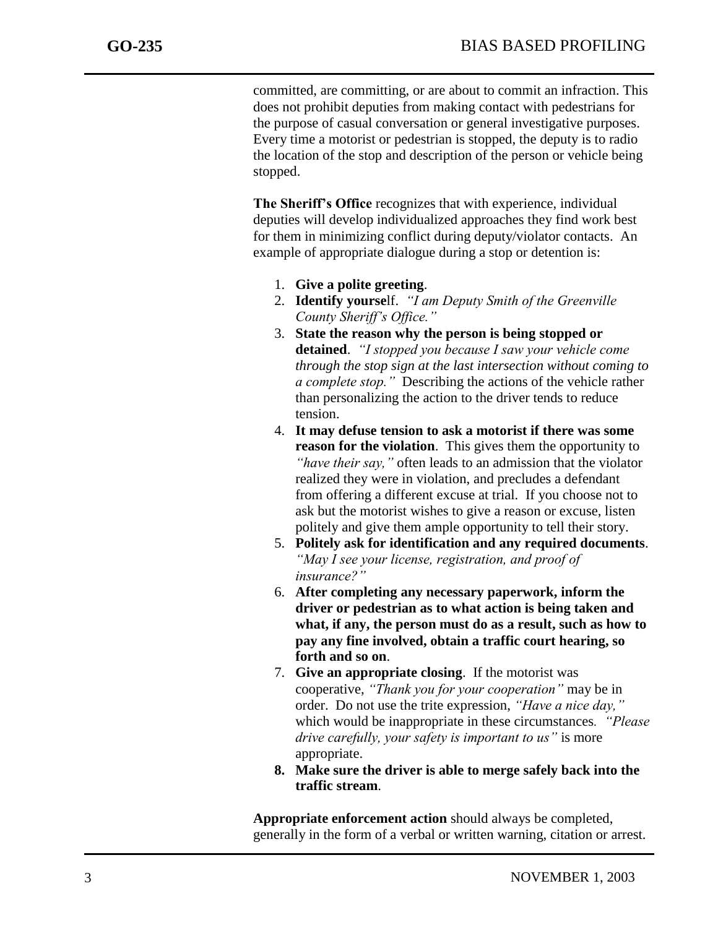j

committed, are committing, or are about to commit an infraction. This does not prohibit deputies from making contact with pedestrians for the purpose of casual conversation or general investigative purposes. Every time a motorist or pedestrian is stopped, the deputy is to radio the location of the stop and description of the person or vehicle being stopped.

**The Sheriff's Office** recognizes that with experience, individual deputies will develop individualized approaches they find work best for them in minimizing conflict during deputy/violator contacts. An example of appropriate dialogue during a stop or detention is:

- 1. **Give a polite greeting**.
- 2. **Identify yourse**lf. *"I am Deputy Smith of the Greenville County Sheriff's Office."*
- 3. **State the reason why the person is being stopped or detained**. *"I stopped you because I saw your vehicle come through the stop sign at the last intersection without coming to a complete stop."* Describing the actions of the vehicle rather than personalizing the action to the driver tends to reduce tension.
- 4. **It may defuse tension to ask a motorist if there was some reason for the violation**. This gives them the opportunity to *"have their say,"* often leads to an admission that the violator realized they were in violation, and precludes a defendant from offering a different excuse at trial. If you choose not to ask but the motorist wishes to give a reason or excuse, listen politely and give them ample opportunity to tell their story.
- 5. **Politely ask for identification and any required documents**. *"May I see your license, registration, and proof of insurance?"*
- 6. **After completing any necessary paperwork, inform the driver or pedestrian as to what action is being taken and what, if any, the person must do as a result, such as how to pay any fine involved, obtain a traffic court hearing, so forth and so on**.
- 7. **Give an appropriate closing**. If the motorist was cooperative, *"Thank you for your cooperation"* may be in order. Do not use the trite expression, *"Have a nice day,"* which would be inappropriate in these circumstances*. "Please drive carefully, your safety is important to us"* is more appropriate.
- **8. Make sure the driver is able to merge safely back into the traffic stream**.

**Appropriate enforcement action** should always be completed, generally in the form of a verbal or written warning, citation or arrest.